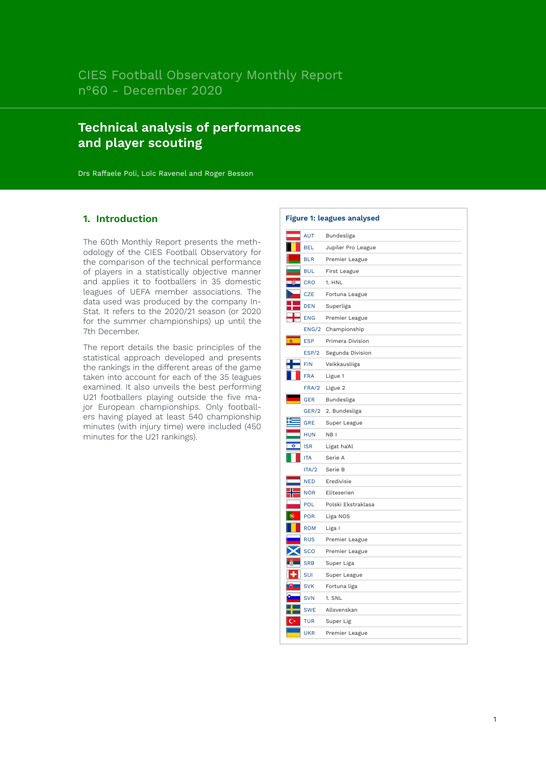# **Technical analysis of performances and player scouting**

Drs Raffaele Poli, Loïc Ravenel and Roger Besson

# **1. Introduction**

The 60th Monthly Report presents the methodology of the CIES Football Observatory for the comparison of the technical performance of players in a statistically objective manner and applies it to footballers in 35 domestic leagues of UEFA member associations. The data used was produced by the company In-Stat. It refers to the 2020/21 season (or 2020 for the summer championships) up until the 7th December.

The report details the basic principles of the statistical approach developed and presents the rankings in the different areas of the game taken into account for each of the 35 leagues examined. It also unveils the best performing U21 footballers playing outside the five major European championships. Only footballers having played at least 540 championship minutes (with injury time) were included (450 minutes for the U21 rankings).

| <b>AUT</b> | Bundesliga         |
|------------|--------------------|
| <b>BEL</b> | Jupiler Pro League |
| <b>BLR</b> | Premier League     |
| <b>BUL</b> | First League       |
| <b>CRO</b> | 1. HNL             |
| <b>CZE</b> | Fortuna League     |
| <b>DEN</b> | Superliga          |
| <b>ENG</b> | Premier League     |
| ENG/2      | Championship       |
| <b>ESP</b> | Primera Division   |
| ESP/2      | Segunda Division   |
| <b>FIN</b> | Veikkausliiga      |
| FRA        | Ligue 1            |
| FRA/2      | Ligue 2            |
| <b>GER</b> | Bundesliga         |
| GER/2      | 2. Bundesliga      |
| <b>GRE</b> | Super League       |
| <b>HUN</b> | NB I               |
| <b>ISR</b> | Ligat ha'Al        |
| <b>ITA</b> | Serie A            |
| ITA/2      | Serie B            |
| <b>NED</b> | Eredivisie         |
| <b>NOR</b> | Eliteserien        |
| POL        | Polski Ekstraklasa |
| <b>POR</b> | Liga NOS           |
| <b>ROM</b> | Liga I             |
| <b>RUS</b> | Premier League     |
| <b>SCO</b> | Premier League     |
| <b>SRB</b> | Super Liga         |
| SUI        | Super League       |
| <b>SVK</b> | Fortuna liga       |
| <b>SVN</b> | 1. SNL             |
| <b>SWE</b> | Allsvenskan        |
| <b>TUR</b> | Super Lig          |
| <b>UKR</b> | Premier League     |
|            |                    |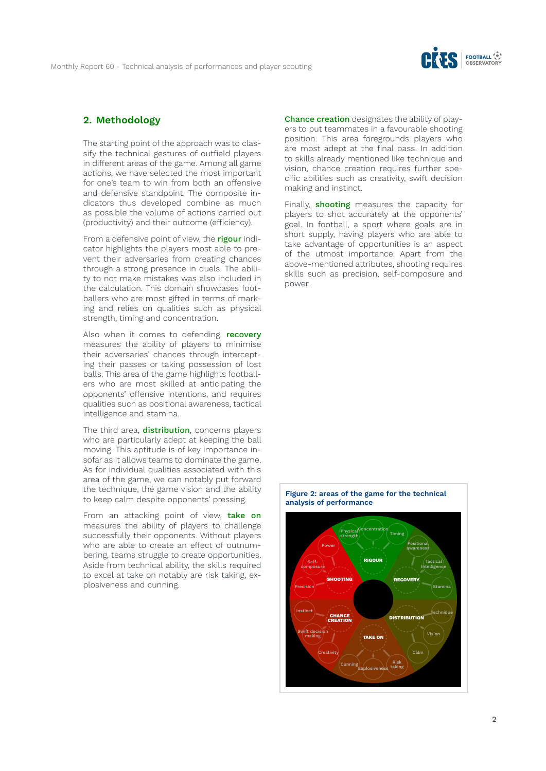

## **2. Methodology**

The starting point of the approach was to classify the technical gestures of outfield players in different areas of the game. Among all game actions, we have selected the most important for one's team to win from both an offensive and defensive standpoint. The composite indicators thus developed combine as much as possible the volume of actions carried out (productivity) and their outcome (efficiency).

From a defensive point of view, the rigour indicator highlights the players most able to prevent their adversaries from creating chances through a strong presence in duels. The ability to not make mistakes was also included in the calculation. This domain showcases footballers who are most gifted in terms of marking and relies on qualities such as physical strength, timing and concentration.

Also when it comes to defending, recovery measures the ability of players to minimise their adversaries' chances through intercepting their passes or taking possession of lost balls. This area of the game highlights footballers who are most skilled at anticipating the opponents' offensive intentions, and requires qualities such as positional awareness, tactical intelligence and stamina.

The third area, **distribution**, concerns players who are particularly adept at keeping the ball moving. This aptitude is of key importance insofar as it allows teams to dominate the game. As for individual qualities associated with this area of the game, we can notably put forward the technique, the game vision and the ability to keep calm despite opponents' pressing.

From an attacking point of view, take on measures the ability of players to challenge successfully their opponents. Without players who are able to create an effect of outnumbering, teams struggle to create opportunities. Aside from technical ability, the skills required to excel at take on notably are risk taking, explosiveness and cunning.

Chance creation designates the ability of players to put teammates in a favourable shooting position. This area foregrounds players who are most adept at the final pass. In addition to skills already mentioned like technique and vision, chance creation requires further specific abilities such as creativity, swift decision making and instinct.

Finally, shooting measures the capacity for players to shot accurately at the opponents' goal. In football, a sport where goals are in short supply, having players who are able to take advantage of opportunities is an aspect of the utmost importance. Apart from the above-mentioned attributes, shooting requires skills such as precision, self-composure and power.

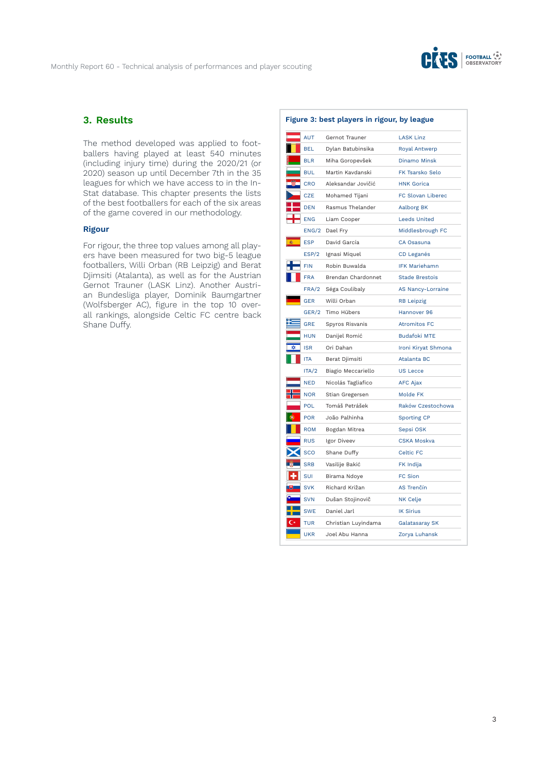

# **3. Results**

The method developed was applied to footballers having played at least 540 minutes (including injury time) during the 2020/21 (or 2020) season up until December 7th in the 35 leagues for which we have access to in the In-Stat database. This chapter presents the lists of the best footballers for each of the six areas of the game covered in our methodology.

### **Rigour**

For rigour, the three top values among all players have been measured for two big-5 league footballers, Willi Orban (RB Leipzig) and Berat Djimsiti (Atalanta), as well as for the Austrian Gernot Trauner (LASK Linz). Another Austrian Bundesliga player, Dominik Baumgartner (Wolfsberger AC), figure in the top 10 overall rankings, alongside Celtic FC centre back Shane Duffy.

|            | Figure 3: best players in rigour, by league |                        |
|------------|---------------------------------------------|------------------------|
| <b>AUT</b> | Gernot Trauner                              | <b>LASK Linz</b>       |
| <b>BEL</b> | Dylan Batubinsika                           | Royal Antwerp          |
| <b>BLR</b> | Miha Goropevšek                             | <b>Dinamo Minsk</b>    |
| <b>BUL</b> | Martin Kavdanski                            | <b>FK Tsarsko Selo</b> |
| <b>CRO</b> | Aleksandar Jovičić                          | <b>HNK Gorica</b>      |
| <b>CZE</b> | Mohamed Tijani                              | FC Slovan Liberec      |
| <b>DEN</b> | Rasmus Thelander                            | <b>Aalborg BK</b>      |
| <b>ENG</b> | Liam Cooper                                 | <b>Leeds United</b>    |
| ENG/2      | Dael Fry                                    | Middlesbrough FC       |
| <b>ESP</b> | David García                                | CA Osasuna             |
| ESP/2      | Ignasi Miquel                               | <b>CD Leganés</b>      |
| <b>FIN</b> | Robin Buwalda                               | <b>IFK Mariehamn</b>   |
| <b>FRA</b> | Brendan Chardonnet                          | <b>Stade Brestois</b>  |
| FRA/2      | Séga Coulibaly                              | AS Nancy-Lorraine      |
| <b>GER</b> | Willi Orban                                 | <b>RB</b> Leipzig      |
| GER/2      | Timo Hübers                                 | Hannover 96            |
| <b>GRE</b> | Spyros Risvanis                             | <b>Atromitos FC</b>    |
| <b>HUN</b> | Danijel Romić                               | <b>Budafoki MTE</b>    |
| <b>ISR</b> | Ori Dahan                                   | Ironi Kiryat Shmona    |
| <b>ITA</b> | Berat Djimsiti                              | Atalanta BC            |
| ITA/2      | Biagio Meccariello                          | <b>US Lecce</b>        |
| <b>NED</b> | Nicolás Tagliafico                          | <b>AFC Ajax</b>        |
| <b>NOR</b> | Stian Gregersen                             | Molde FK               |
| <b>POL</b> | Tomáš Petrášek                              | Raków Czestochowa      |
| <b>POR</b> | João Palhinha                               | <b>Sporting CP</b>     |
| <b>ROM</b> | Bogdan Mitrea                               | Sepsi OSK              |
| <b>RUS</b> | Igor Diveev                                 | <b>CSKA Moskva</b>     |
| <b>SCO</b> | Shane Duffy                                 | <b>Celtic FC</b>       |
| <b>SRB</b> | Vasilije Bakić                              | FK Indija              |
| <b>SUI</b> | Birama Ndoye                                | <b>FC Sion</b>         |
| <b>SVK</b> | Richard Križan                              | AS Trenčín             |
| <b>SVN</b> | Dušan Stojinovič                            | <b>NK Celje</b>        |
| <b>SWE</b> | Daniel Jarl                                 | <b>IK Sirius</b>       |
| <b>TUR</b> | Christian Luyindama                         | <b>Galatasaray SK</b>  |
| <b>UKR</b> | Joel Abu Hanna                              | Zorya Luhansk          |
|            |                                             |                        |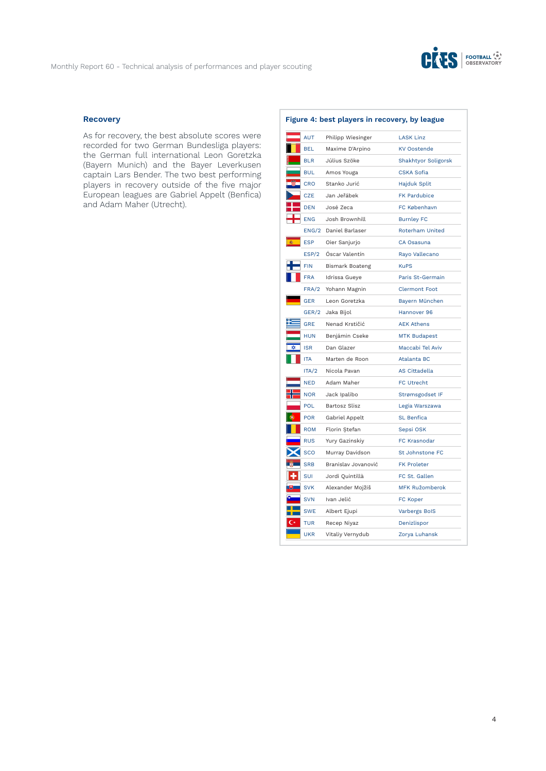

### **Recovery**

As for recovery, the best absolute scores were recorded for two German Bundesliga players: the German full international Leon Goretzka (Bayern Munich) and the Bayer Leverkusen captain Lars Bender. The two best performing players in recovery outside of the five major European leagues are Gabriel Appelt (Benfica) and Adam Maher (Utrecht).

|    |            | Figure 4: best players in recovery, by league |                        |
|----|------------|-----------------------------------------------|------------------------|
|    | <b>AUT</b> | Philipp Wiesinger                             | <b>LASK Linz</b>       |
|    | <b>BEL</b> | Maxime D'Arpino                               | <b>KV Oostende</b>     |
|    | <b>BLR</b> | Július Szöke                                  | Shakhtyor Soligorsk    |
|    | <b>BUL</b> | Amos Youga                                    | <b>CSKA Sofia</b>      |
|    | <b>CRO</b> | Stanko Jurić                                  | Hajduk Split           |
|    | <b>CZE</b> | Jan Jeřábek                                   | <b>FK Pardubice</b>    |
|    | <b>DEN</b> | José Zeca                                     | FC København           |
|    | <b>ENG</b> | Josh Brownhill                                | <b>Burnley FC</b>      |
|    | ENG/2      | Daniel Barlaser                               | <b>Roterham United</b> |
| 客。 | <b>ESP</b> | Oier Sanjurjo                                 | CA Osasuna             |
|    | ESP/2      | Óscar Valentín                                | Rayo Vallecano         |
|    | <b>FIN</b> | <b>Bismark Boateng</b>                        | <b>KuPS</b>            |
|    | <b>FRA</b> | Idrissa Gueye                                 | Paris St-Germain       |
|    | FRA/2      | Yohann Magnin                                 | <b>Clermont Foot</b>   |
|    | <b>GER</b> | Leon Goretzka                                 | Bayern München         |
|    | GER/2      | Jaka Bijol                                    | Hannover 96            |
|    | <b>GRE</b> | Nenad Krstičić                                | <b>AEK Athens</b>      |
|    | <b>HUN</b> | Benjámin Cseke                                | <b>MTK Budapest</b>    |
|    | <b>ISR</b> | Dan Glazer                                    | Maccabi Tel Aviv       |
|    | <b>ITA</b> | Marten de Roon                                | Atalanta BC            |
|    | ITA/2      | Nicola Pavan                                  | <b>AS Cittadella</b>   |
|    | <b>NED</b> | Adam Maher                                    | <b>FC Utrecht</b>      |
|    | <b>NOR</b> | Jack Ipalibo                                  | Strømsgodset IF        |
|    | POL        | <b>Bartosz Slisz</b>                          | Legia Warszawa         |
| ۵  | POR        | Gabriel Appelt                                | <b>SL Benfica</b>      |
|    | <b>ROM</b> | Florin Ștefan                                 | Sepsi OSK              |
|    | <b>RUS</b> | Yury Gazinskiy                                | FC Krasnodar           |
|    | <b>SCO</b> | Murray Davidson                               | <b>St Johnstone FC</b> |
|    | <b>SRB</b> | Branislav Jovanović                           | <b>FK Proleter</b>     |
|    | <b>SUI</b> | Jordi Quintillà                               | FC St. Gallen          |
|    | <b>SVK</b> | Alexander Mojžiš                              | <b>MFK Ružomberok</b>  |
|    | <b>SVN</b> | Ivan Jelić                                    | <b>FC Koper</b>        |
|    | <b>SWE</b> | Albert Ejupi                                  | <b>Varbergs BoIS</b>   |
|    | <b>TUR</b> | Recep Niyaz                                   | Denizlispor            |
|    | <b>UKR</b> | Vitaliy Vernydub                              | Zorya Luhansk          |
|    |            |                                               |                        |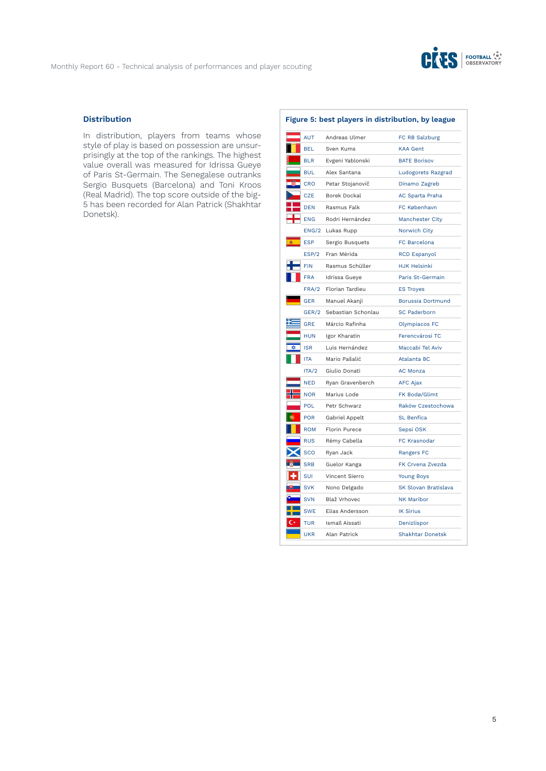

## **Distribution**

In distribution, players from teams whose style of play is based on possession are unsurprisingly at the top of the rankings. The highest value overall was measured for Idrissa Gueye of Paris St-Germain. The Senegalese outranks Sergio Busquets (Barcelona) and Toni Kroos (Real Madrid). The top score outside of the big-5 has been recorded for Alan Patrick (Shakhtar Donetsk).

| <b>AUT</b> | Andreas Ulmer       | FC RB Salzburg              |
|------------|---------------------|-----------------------------|
| <b>BEL</b> | Sven Kums           | <b>KAA Gent</b>             |
| <b>BLR</b> | Evgeni Yablonski    | <b>BATE Borisov</b>         |
| <b>BUL</b> | Alex Santana        | Ludogorets Razgrad          |
| CRO        | Petar Stojanovič    | Dinamo Zagreb               |
| <b>CZE</b> | <b>Borek Dockal</b> | <b>AC Sparta Praha</b>      |
| <b>DEN</b> | Rasmus Falk         | FC København                |
| <b>ENG</b> | Rodri Hernández     | <b>Manchester City</b>      |
|            | ENG/2 Lukas Rupp    | Norwich City                |
| <b>ESP</b> | Sergio Busquets     | FC Barcelona                |
| ESP/2      | Fran Mérida         | <b>RCD Espanyol</b>         |
| <b>FIN</b> | Rasmus Schüller     | <b>HJK Helsinki</b>         |
| <b>FRA</b> | Idrissa Gueye       | Paris St-Germain            |
| FRA/2      | Florian Tardieu     | <b>ES Troyes</b>            |
| <b>GER</b> | Manuel Akanji       | <b>Borussia Dortmund</b>    |
| GER/2      | Sebastian Schonlau  | <b>SC Paderborn</b>         |
| <b>GRE</b> | Márcio Rafinha      | Olympiacos FC               |
| <b>HUN</b> | Igor Kharatin       | Ferencvárosi TC             |
| <b>ISR</b> | Luis Hernández      | Maccabi Tel Aviv            |
| <b>ITA</b> | Mario Pašalić       | Atalanta BC                 |
| ITA/2      | Giulio Donati       | <b>AC Monza</b>             |
| <b>NED</b> | Ryan Gravenberch    | <b>AFC Ajax</b>             |
| <b>NOR</b> | Marius Lode         | FK Bodø/Glimt               |
| POL        | Petr Schwarz        | Raków Czestochowa           |
| <b>POR</b> | Gabriel Appelt      | <b>SL Benfica</b>           |
| <b>ROM</b> | Florin Purece       | Sepsi OSK                   |
| <b>RUS</b> | Rémy Cabella        | FC Krasnodar                |
| <b>SCO</b> | Ryan Jack           | Rangers FC                  |
| <b>SRB</b> | Guelor Kanga        | FK Crvena Zvezda            |
| <b>SUI</b> | Vincent Sierro      | <b>Young Boys</b>           |
| <b>SVK</b> | Nono Delgado        | <b>SK Slovan Bratislava</b> |
| <b>SVN</b> | Blaž Vrhovec        | <b>NK Maribor</b>           |
| <b>SWE</b> | Elias Andersson     | <b>IK Sirius</b>            |
| <b>TUR</b> | Ismaïl Aissati      | Denizlispor                 |
|            |                     |                             |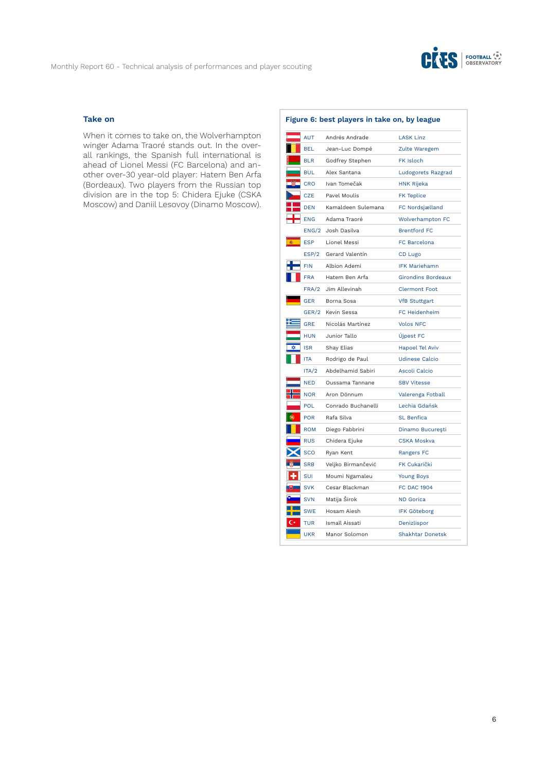

## **Take on**

When it comes to take on, the Wolverhampton winger Adama Traoré stands out. In the overall rankings, the Spanish full international is ahead of Lionel Messi (FC Barcelona) and another over-30 year-old player: Hatem Ben Arfa (Bordeaux). Two players from the Russian top division are in the top 5: Chidera Ejuke (CSKA Moscow) and Daniil Lesovoy (Dinamo Moscow).

| <b>BEL</b><br>Jean-Luc Dompé<br>Zulte Waregem<br>Godfrey Stephen<br><b>FK Isloch</b><br>Alex Santana<br>Ivan Tomečak<br><b>HNK Rijeka</b><br>Pavel Moulis<br><b>FK Teplice</b><br>Kamaldeen Sulemana<br>FC Nordsjælland<br><b>ENG</b><br>Adama Traoré<br>ENG/2<br>Josh Dasilva<br><b>Brentford FC</b><br><b>ESP</b><br>Lionel Messi<br>FC Barcelona<br>ESP/2<br>Gerard Valentín<br>CD Lugo<br><b>FIN</b><br>Albion Ademi<br><b>IFK Mariehamn</b><br><b>FRA</b><br>Hatem Ben Arfa<br>FRA/2<br>Jim Allevinah<br><b>Clermont Foot</b><br><b>GER</b><br>Borna Sosa<br><b>VfB Stuttgart</b><br>FC Heidenheim<br>GER/2<br>Kevin Sessa<br><b>GRE</b><br>Nicolás Martínez<br><b>Volos NFC</b><br><b>HUN</b><br>Junior Tallo<br>Újpest FC<br><b>ISR</b><br><b>Hapoel Tel Aviv</b><br>Shay Elias<br>Rodrigo de Paul<br><b>Udinese Calcio</b><br><b>ITA</b><br>ITA/2<br>Abdelhamid Sabiri<br>Ascoli Calcio<br><b>NED</b><br><b>SBV Vitesse</b><br>Oussama Tannane<br><b>NOR</b><br>Aron Dönnum<br>Valerenga Fotball<br><b>POL</b><br>Conrado Buchanelli<br>Lechia Gdańsk<br><b>POR</b><br>Rafa Silva<br><b>SL Benfica</b><br><b>ROM</b><br>Diego Fabbrini<br>Dinamo București<br><b>RUS</b><br>Chidera Ejuke<br><b>CSKA Moskva</b><br><b>SCO</b><br>Ryan Kent<br><b>Rangers FC</b><br><b>SRB</b><br>Veljko Birmančević<br>FK Cukarički<br><b>SUI</b><br>Moumi Ngamaleu<br><b>Young Boys</b><br>Cesar Blackman<br><b>FC DAC 1904</b><br>Matija Širok<br><b>SVN</b><br><b>ND</b> Gorica<br><b>SWE</b><br>Hosam Aiesh<br><b>IFK Göteborg</b><br><b>TUR</b><br>Ismaïl Aissati<br>Denizlispor<br><b>UKR</b><br>Manor Solomon<br><b>Shakhtar Donetsk</b> | AUT        | Andrés Andrade | <b>LASK Linz</b>          |
|-----------------------------------------------------------------------------------------------------------------------------------------------------------------------------------------------------------------------------------------------------------------------------------------------------------------------------------------------------------------------------------------------------------------------------------------------------------------------------------------------------------------------------------------------------------------------------------------------------------------------------------------------------------------------------------------------------------------------------------------------------------------------------------------------------------------------------------------------------------------------------------------------------------------------------------------------------------------------------------------------------------------------------------------------------------------------------------------------------------------------------------------------------------------------------------------------------------------------------------------------------------------------------------------------------------------------------------------------------------------------------------------------------------------------------------------------------------------------------------------------------------------------------------------------------------------------------------------------------------------------------------------|------------|----------------|---------------------------|
|                                                                                                                                                                                                                                                                                                                                                                                                                                                                                                                                                                                                                                                                                                                                                                                                                                                                                                                                                                                                                                                                                                                                                                                                                                                                                                                                                                                                                                                                                                                                                                                                                                         |            |                |                           |
|                                                                                                                                                                                                                                                                                                                                                                                                                                                                                                                                                                                                                                                                                                                                                                                                                                                                                                                                                                                                                                                                                                                                                                                                                                                                                                                                                                                                                                                                                                                                                                                                                                         | <b>BLR</b> |                |                           |
|                                                                                                                                                                                                                                                                                                                                                                                                                                                                                                                                                                                                                                                                                                                                                                                                                                                                                                                                                                                                                                                                                                                                                                                                                                                                                                                                                                                                                                                                                                                                                                                                                                         | <b>BUL</b> |                | Ludogorets Razgrad        |
|                                                                                                                                                                                                                                                                                                                                                                                                                                                                                                                                                                                                                                                                                                                                                                                                                                                                                                                                                                                                                                                                                                                                                                                                                                                                                                                                                                                                                                                                                                                                                                                                                                         | <b>CRO</b> |                |                           |
|                                                                                                                                                                                                                                                                                                                                                                                                                                                                                                                                                                                                                                                                                                                                                                                                                                                                                                                                                                                                                                                                                                                                                                                                                                                                                                                                                                                                                                                                                                                                                                                                                                         | <b>CZE</b> |                |                           |
|                                                                                                                                                                                                                                                                                                                                                                                                                                                                                                                                                                                                                                                                                                                                                                                                                                                                                                                                                                                                                                                                                                                                                                                                                                                                                                                                                                                                                                                                                                                                                                                                                                         | <b>DEN</b> |                |                           |
|                                                                                                                                                                                                                                                                                                                                                                                                                                                                                                                                                                                                                                                                                                                                                                                                                                                                                                                                                                                                                                                                                                                                                                                                                                                                                                                                                                                                                                                                                                                                                                                                                                         |            |                | Wolverhampton FC          |
|                                                                                                                                                                                                                                                                                                                                                                                                                                                                                                                                                                                                                                                                                                                                                                                                                                                                                                                                                                                                                                                                                                                                                                                                                                                                                                                                                                                                                                                                                                                                                                                                                                         |            |                |                           |
|                                                                                                                                                                                                                                                                                                                                                                                                                                                                                                                                                                                                                                                                                                                                                                                                                                                                                                                                                                                                                                                                                                                                                                                                                                                                                                                                                                                                                                                                                                                                                                                                                                         |            |                |                           |
|                                                                                                                                                                                                                                                                                                                                                                                                                                                                                                                                                                                                                                                                                                                                                                                                                                                                                                                                                                                                                                                                                                                                                                                                                                                                                                                                                                                                                                                                                                                                                                                                                                         |            |                |                           |
|                                                                                                                                                                                                                                                                                                                                                                                                                                                                                                                                                                                                                                                                                                                                                                                                                                                                                                                                                                                                                                                                                                                                                                                                                                                                                                                                                                                                                                                                                                                                                                                                                                         |            |                |                           |
|                                                                                                                                                                                                                                                                                                                                                                                                                                                                                                                                                                                                                                                                                                                                                                                                                                                                                                                                                                                                                                                                                                                                                                                                                                                                                                                                                                                                                                                                                                                                                                                                                                         |            |                | <b>Girondins Bordeaux</b> |
|                                                                                                                                                                                                                                                                                                                                                                                                                                                                                                                                                                                                                                                                                                                                                                                                                                                                                                                                                                                                                                                                                                                                                                                                                                                                                                                                                                                                                                                                                                                                                                                                                                         |            |                |                           |
|                                                                                                                                                                                                                                                                                                                                                                                                                                                                                                                                                                                                                                                                                                                                                                                                                                                                                                                                                                                                                                                                                                                                                                                                                                                                                                                                                                                                                                                                                                                                                                                                                                         |            |                |                           |
|                                                                                                                                                                                                                                                                                                                                                                                                                                                                                                                                                                                                                                                                                                                                                                                                                                                                                                                                                                                                                                                                                                                                                                                                                                                                                                                                                                                                                                                                                                                                                                                                                                         |            |                |                           |
|                                                                                                                                                                                                                                                                                                                                                                                                                                                                                                                                                                                                                                                                                                                                                                                                                                                                                                                                                                                                                                                                                                                                                                                                                                                                                                                                                                                                                                                                                                                                                                                                                                         |            |                |                           |
|                                                                                                                                                                                                                                                                                                                                                                                                                                                                                                                                                                                                                                                                                                                                                                                                                                                                                                                                                                                                                                                                                                                                                                                                                                                                                                                                                                                                                                                                                                                                                                                                                                         |            |                |                           |
|                                                                                                                                                                                                                                                                                                                                                                                                                                                                                                                                                                                                                                                                                                                                                                                                                                                                                                                                                                                                                                                                                                                                                                                                                                                                                                                                                                                                                                                                                                                                                                                                                                         |            |                |                           |
|                                                                                                                                                                                                                                                                                                                                                                                                                                                                                                                                                                                                                                                                                                                                                                                                                                                                                                                                                                                                                                                                                                                                                                                                                                                                                                                                                                                                                                                                                                                                                                                                                                         |            |                |                           |
|                                                                                                                                                                                                                                                                                                                                                                                                                                                                                                                                                                                                                                                                                                                                                                                                                                                                                                                                                                                                                                                                                                                                                                                                                                                                                                                                                                                                                                                                                                                                                                                                                                         |            |                |                           |
|                                                                                                                                                                                                                                                                                                                                                                                                                                                                                                                                                                                                                                                                                                                                                                                                                                                                                                                                                                                                                                                                                                                                                                                                                                                                                                                                                                                                                                                                                                                                                                                                                                         |            |                |                           |
|                                                                                                                                                                                                                                                                                                                                                                                                                                                                                                                                                                                                                                                                                                                                                                                                                                                                                                                                                                                                                                                                                                                                                                                                                                                                                                                                                                                                                                                                                                                                                                                                                                         |            |                |                           |
|                                                                                                                                                                                                                                                                                                                                                                                                                                                                                                                                                                                                                                                                                                                                                                                                                                                                                                                                                                                                                                                                                                                                                                                                                                                                                                                                                                                                                                                                                                                                                                                                                                         |            |                |                           |
|                                                                                                                                                                                                                                                                                                                                                                                                                                                                                                                                                                                                                                                                                                                                                                                                                                                                                                                                                                                                                                                                                                                                                                                                                                                                                                                                                                                                                                                                                                                                                                                                                                         |            |                |                           |
|                                                                                                                                                                                                                                                                                                                                                                                                                                                                                                                                                                                                                                                                                                                                                                                                                                                                                                                                                                                                                                                                                                                                                                                                                                                                                                                                                                                                                                                                                                                                                                                                                                         |            |                |                           |
|                                                                                                                                                                                                                                                                                                                                                                                                                                                                                                                                                                                                                                                                                                                                                                                                                                                                                                                                                                                                                                                                                                                                                                                                                                                                                                                                                                                                                                                                                                                                                                                                                                         |            |                |                           |
|                                                                                                                                                                                                                                                                                                                                                                                                                                                                                                                                                                                                                                                                                                                                                                                                                                                                                                                                                                                                                                                                                                                                                                                                                                                                                                                                                                                                                                                                                                                                                                                                                                         |            |                |                           |
|                                                                                                                                                                                                                                                                                                                                                                                                                                                                                                                                                                                                                                                                                                                                                                                                                                                                                                                                                                                                                                                                                                                                                                                                                                                                                                                                                                                                                                                                                                                                                                                                                                         |            |                |                           |
|                                                                                                                                                                                                                                                                                                                                                                                                                                                                                                                                                                                                                                                                                                                                                                                                                                                                                                                                                                                                                                                                                                                                                                                                                                                                                                                                                                                                                                                                                                                                                                                                                                         |            |                |                           |
|                                                                                                                                                                                                                                                                                                                                                                                                                                                                                                                                                                                                                                                                                                                                                                                                                                                                                                                                                                                                                                                                                                                                                                                                                                                                                                                                                                                                                                                                                                                                                                                                                                         | <b>SVK</b> |                |                           |
|                                                                                                                                                                                                                                                                                                                                                                                                                                                                                                                                                                                                                                                                                                                                                                                                                                                                                                                                                                                                                                                                                                                                                                                                                                                                                                                                                                                                                                                                                                                                                                                                                                         |            |                |                           |
|                                                                                                                                                                                                                                                                                                                                                                                                                                                                                                                                                                                                                                                                                                                                                                                                                                                                                                                                                                                                                                                                                                                                                                                                                                                                                                                                                                                                                                                                                                                                                                                                                                         |            |                |                           |
|                                                                                                                                                                                                                                                                                                                                                                                                                                                                                                                                                                                                                                                                                                                                                                                                                                                                                                                                                                                                                                                                                                                                                                                                                                                                                                                                                                                                                                                                                                                                                                                                                                         |            |                |                           |
|                                                                                                                                                                                                                                                                                                                                                                                                                                                                                                                                                                                                                                                                                                                                                                                                                                                                                                                                                                                                                                                                                                                                                                                                                                                                                                                                                                                                                                                                                                                                                                                                                                         |            |                |                           |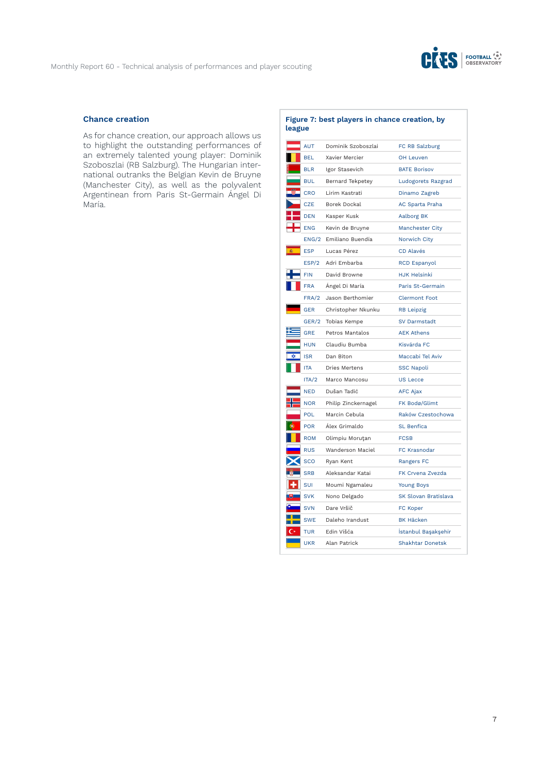

## **Chance creation**

As for chance creation, our approach allows us to highlight the outstanding performances of an extremely talented young player: Dominik Szoboszlai (RB Salzburg). The Hungarian international outranks the Belgian Kevin de Bruyne (Manchester City), as well as the polyvalent Argentinean from Paris St-Germain Ángel Di María.

| <b>AUT</b> | Dominik Szoboszlai   | FC RB Salzburg              |
|------------|----------------------|-----------------------------|
| <b>BEL</b> | Xavier Mercier       | OH Leuven                   |
| <b>BLR</b> | Igor Stasevich       | <b>BATE Borisov</b>         |
| <b>BUL</b> | Bernard Tekpetey     | Ludogorets Razgrad          |
| CRO        | Lirim Kastrati       | Dinamo Zagreb               |
| <b>CZE</b> | Borek Dockal         | <b>AC Sparta Praha</b>      |
| <b>DEN</b> | Kasper Kusk          | Aalborg BK                  |
| <b>ENG</b> | Kevin de Bruyne      | <b>Manchester City</b>      |
| ENG/2      | Emiliano Buendía     | Norwich City                |
| <b>ESP</b> | Lucas Pérez          | <b>CD Alavés</b>            |
| ESP/2      | Adri Embarba         | <b>RCD Espanyol</b>         |
| <b>FIN</b> | David Browne         | <b>HJK Helsinki</b>         |
| <b>FRA</b> | Ángel Di María       | Paris St-Germain            |
| FRA/2      | Jason Berthomier     | <b>Clermont Foot</b>        |
| <b>GER</b> | Christopher Nkunku   | <b>RB</b> Leipzig           |
| GER/2      | Tobias Kempe         | <b>SV Darmstadt</b>         |
| <b>GRE</b> | Petros Mantalos      | <b>AEK Athens</b>           |
| <b>HUN</b> | Claudiu Bumba        | Kisvárda FC                 |
| <b>ISR</b> | Dan Biton            | Maccabi Tel Aviv            |
| <b>ITA</b> | <b>Dries Mertens</b> | <b>SSC Napoli</b>           |
| ITA/2      | Marco Mancosu        | <b>US Lecce</b>             |
| <b>NED</b> | Dušan Tadić          | <b>AFC Ajax</b>             |
| <b>NOR</b> | Philip Zinckernagel  | FK Bodø/Glimt               |
| <b>POL</b> | Marcin Cebula        | Raków Czestochowa           |
| <b>POR</b> | Álex Grimaldo        | <b>SL Benfica</b>           |
| <b>ROM</b> | Olimpiu Moruțan      | <b>FCSB</b>                 |
| <b>RUS</b> | Wanderson Maciel     | FC Krasnodar                |
| <b>SCO</b> | Ryan Kent            | <b>Rangers FC</b>           |
| <b>SRB</b> | Aleksandar Katai     | FK Crvena Zvezda            |
| <b>SUI</b> | Moumi Ngamaleu       | <b>Young Boys</b>           |
| <b>SVK</b> | Nono Delgado         | <b>SK Slovan Bratislava</b> |
| <b>SVN</b> | Dare Vršič           | FC Koper                    |
|            |                      |                             |
| <b>SWE</b> | Daleho Irandust      | <b>BK Häcken</b>            |
| <b>TUR</b> | Edin Višća           | İstanbul Başakşehir         |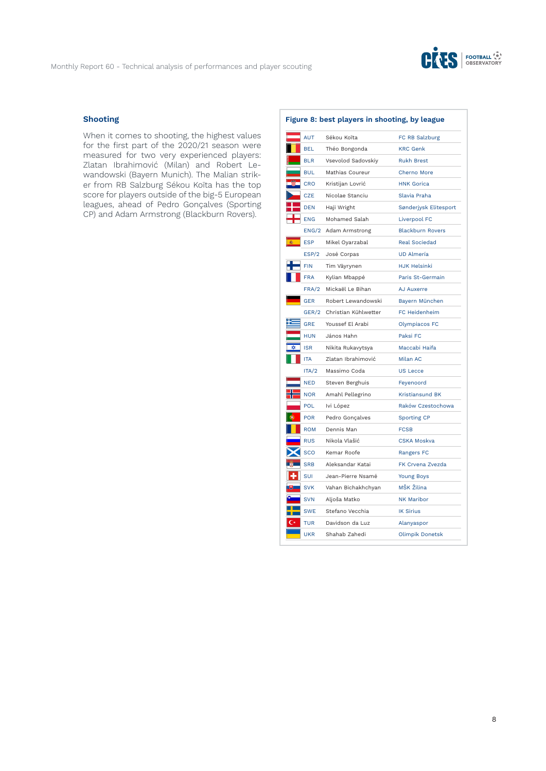

### **Shooting**

When it comes to shooting, the highest values for the first part of the 2020/21 season were measured for two very experienced players: Zlatan Ibrahimović (Milan) and Robert Lewandowski (Bayern Munich). The Malian striker from RB Salzburg Sékou Koïta has the top score for players outside of the big-5 European leagues, ahead of Pedro Gonçalves (Sporting CP) and Adam Armstrong (Blackburn Rovers).

| AUT        | Sékou Koïta          | FC RB Salzburg          |
|------------|----------------------|-------------------------|
| <b>BEL</b> | Théo Bongonda        | <b>KRC Genk</b>         |
| <b>BLR</b> | Vsevolod Sadovskiy   | <b>Rukh Brest</b>       |
| <b>BUL</b> | Mathias Coureur      | <b>Cherno More</b>      |
| CRO        | Kristijan Lovrić     | <b>HNK Gorica</b>       |
| <b>CZE</b> | Nicolae Stanciu      | Slavia Praha            |
| <b>DEN</b> | Haji Wright          | Sønderjysk Elitesport   |
| <b>ENG</b> | Mohamed Salah        | Liverpool FC            |
|            | ENG/2 Adam Armstrong | <b>Blackburn Rovers</b> |
| <b>ESP</b> | Mikel Oyarzabal      | <b>Real Sociedad</b>    |
| ESP/2      | José Corpas          | <b>UD Almería</b>       |
| <b>FIN</b> | Tim Väyrynen         | <b>HJK Helsinki</b>     |
| <b>FRA</b> | Kylian Mbappé        | Paris St-Germain        |
| FRA/2      | Mickaël Le Bihan     | <b>AJ Auxerre</b>       |
| <b>GER</b> | Robert Lewandowski   | Bayern München          |
| GER/2      | Christian Kühlwetter | <b>FC Heidenheim</b>    |
| GRE        | Youssef El Arabi     | Olympiacos FC           |
| <b>HUN</b> | János Hahn           | Paksi FC                |
| <b>ISR</b> | Nikita Rukavytsya    | Maccabi Haifa           |
| <b>ITA</b> | Zlatan Ibrahimović   | Milan AC                |
| ITA/2      | Massimo Coda         | <b>US Lecce</b>         |
| <b>NED</b> | Steven Berghuis      | Feyenoord               |
| <b>NOR</b> | Amahl Pellegrino     | <b>Kristiansund BK</b>  |
| POL        | Ivi López            | Raków Czestochowa       |
| POR        | Pedro Gonçalves      | <b>Sporting CP</b>      |
| <b>ROM</b> | Dennis Man           | <b>FCSB</b>             |
| <b>RUS</b> | Nikola Vlašić        | <b>CSKA Moskva</b>      |
| <b>SCO</b> | Kemar Roofe          | <b>Rangers FC</b>       |
| <b>SRB</b> | Aleksandar Katai     | FK Crvena Zvezda        |
| <b>SUI</b> | Jean-Pierre Nsamé    | <b>Young Boys</b>       |
| <b>SVK</b> | Vahan Bichakhchyan   | MŠK Žilina              |
| <b>SVN</b> | Aljoša Matko         | <b>NK Maribor</b>       |
| <b>SWE</b> | Stefano Vecchia      | <b>IK Sirius</b>        |
| <b>TUR</b> | Davidson da Luz      | Alanyaspor              |
|            |                      |                         |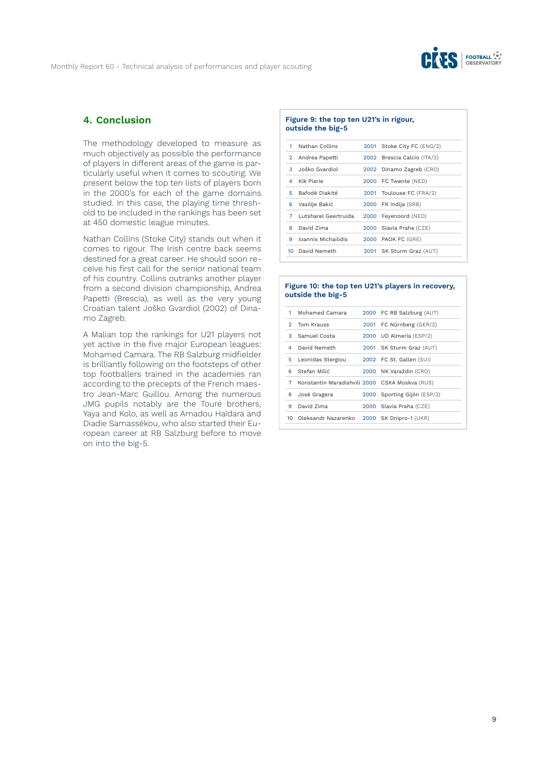

## **4. Conclusion**

The methodology developed to measure as much objectively as possible the performance of players in different areas of the game is particularly useful when it comes to scouting. We present below the top ten lists of players born in the 2000's for each of the game domains studied. In this case, the playing time threshold to be included in the rankings has been set at 450 domestic league minutes.

Nathan Collins (Stoke City) stands out when it comes to rigour. The Irish centre back seems destined for a great career. He should soon receive his first call for the senior national team of his country. Collins outranks another player from a second division championship, Andrea Papetti (Brescia), as well as the very young Croatian talent Joško Gvardiol (2002) of Dinamo Zagreb.

A Malian top the rankings for U21 players not yet active in the five major European leagues: Mohamed Camara. The RB Salzburg midfielder is brilliantly following on the footsteps of other top footballers trained in the academies ran according to the precepts of the French maestro Jean-Marc Guillou. Among the numerous JMG pupils notably are the Touré brothers, Yaya and Kolo, as well as Amadou Haïdara and Diadie Samassékou, who also started their European career at RB Salzburg before to move on into the big-5.

#### **Figure 9: the top ten U21's in rigour, outside the big-5**

| 1              | Nathan Collins       | 2001 Stoke City FC (ENG/2)  |
|----------------|----------------------|-----------------------------|
| $\overline{2}$ | Andrea Papetti       | 2002 Brescia Calcio (ITA/2) |
| 3              | Joško Gvardiol       | 2002 Dinamo Zagreb (CRO)    |
| 4              | Kik Pierie           | 2000 FC Twente (NED)        |
| 5.             | Bafodé Diakité       | 2001 Toulouse FC (FRA/2)    |
| 6              | Vasilije Bakić       | 2000 FK Indija (SRB)        |
| 7              | Lutsharel Geertruida | 2000 Feyenoord (NED)        |
| 8.             | David Zima           | 2000 Slavia Praha (CZE)     |
| 9              | Joannis Michailidis  | 2000 PAOK FC (GRE)          |
|                | 10 David Nemeth      | 2001 SK Sturm Graz (AUT)    |
|                |                      |                             |

#### **Figure 10: the top ten U21's players in recovery, outside the big-5**

| 1. | Mohamed Camara                                 | 2000 FC RB Salzburg (AUT)   |
|----|------------------------------------------------|-----------------------------|
| 2  | Tom Krauss                                     | 2001 FC Nürnberg (GER/2)    |
| 3  | Samuel Costa                                   | 2000 UD Almería (ESP/2)     |
| 4  | David Nemeth                                   | 2001 SK Sturm Graz (AUT)    |
| 5  | Leonidas Stergiou                              | 2002 FC St. Gallen (SUI)    |
| 6  | Stefan Milić                                   | 2000 NK Varaždin (CRO)      |
| 7  | Konstantin Maradishvili 2000 CSKA Moskva (RUS) |                             |
| 8  | José Gragera                                   | 2000 Sporting Gijón (ESP/2) |
| 9  | David Zima                                     | 2000 Slavia Praha (CZE)     |
|    | 10   Oleksandr Nazarenko                       | 2000 SK Dnipro-1 (UKR)      |
|    |                                                |                             |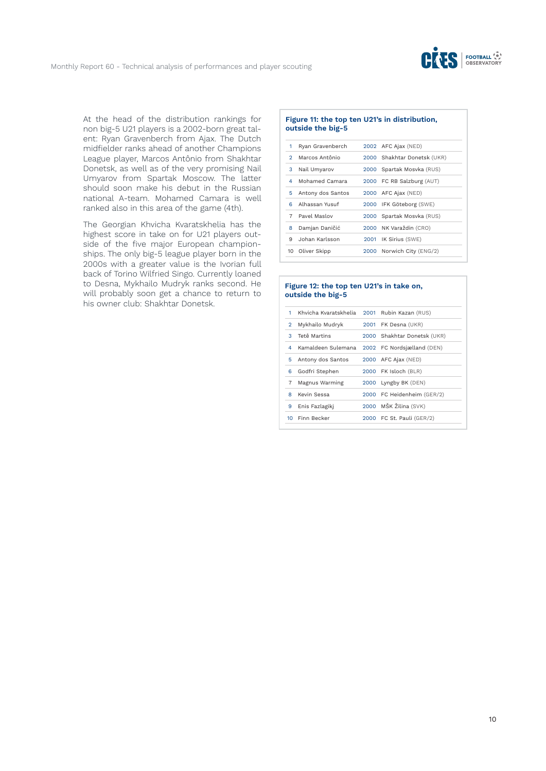

At the head of the distribution rankings for non big-5 U21 players is a 2002-born great talent: Ryan Gravenberch from Ajax. The Dutch midfielder ranks ahead of another Champions League player, Marcos Antônio from Shakhtar Donetsk, as well as of the very promising Nail Umyarov from Spartak Moscow. The latter should soon make his debut in the Russian national A-team. Mohamed Camara is well ranked also in this area of the game (4th).

The Georgian Khvicha Kvaratskhelia has the highest score in take on for U21 players outside of the five major European championships. The only big-5 league player born in the 2000s with a greater value is the Ivorian full back of Torino Wilfried Singo. Currently loaned to Desna, Mykhailo Mudryk ranks second. He will probably soon get a chance to return to his owner club: Shakhtar Donetsk.

#### **Figure 11: the top ten U21's in distribution, outside the big-5**

| 1              | Ryan Gravenberch  | 2002 AFC Ajax (NED)         |
|----------------|-------------------|-----------------------------|
| 2.             | Marcos Antônio    | 2000 Shakhtar Donetsk (UKR) |
| 3              | Nail Umyarov      | 2000 Spartak Mosvka (RUS)   |
| 4              | Mohamed Camara    | 2000 FC RB Salzburg (AUT)   |
| 5.             | Antony dos Santos | 2000 AFC Ajax (NED)         |
| 6.             | Alhassan Yusuf    | 2000 IFK Göteborg (SWE)     |
| $\overline{7}$ | Pavel Maslov      | 2000 Spartak Mosvka (RUS)   |
| 8              | Damjan Daničić    | 2000 NK Varaždin (CRO)      |
| 9              | Johan Karlsson    | 2001 IK Sirius (SWE)        |
| 10             | Oliver Skipp      | 2000 Norwich City (ENG/2)   |
|                |                   |                             |

#### **Figure 12: the top ten U21's in take on, outside the big-5**

| 1. | Khvicha Kvaratskhelia 2001 Rubin Kazan (RUS) |                             |
|----|----------------------------------------------|-----------------------------|
| 2  | Mykhailo Mudryk                              | 2001 FK Desna (UKR)         |
| 3  | Tetê Martins                                 | 2000 Shakhtar Donetsk (UKR) |
| 4  | Kamaldeen Sulemana                           | 2002 FC Nordsjælland (DEN)  |
| 5  | Antony dos Santos                            | 2000 AFC Ajax (NED)         |
| 6  | Godfri Stephen                               | 2000 FK Isloch (BLR)        |
| 7  | Magnus Warming                               | 2000 Lyngby BK (DEN)        |
| 8  | Kevin Sessa                                  | 2000 FC Heidenheim (GER/2)  |
| 9  | Enis Fazlagikj                               | 2000 MŠK Žilina (SVK)       |
|    | 10 Finn Becker                               | 2000 FC St. Pauli (GER/2)   |
|    |                                              |                             |